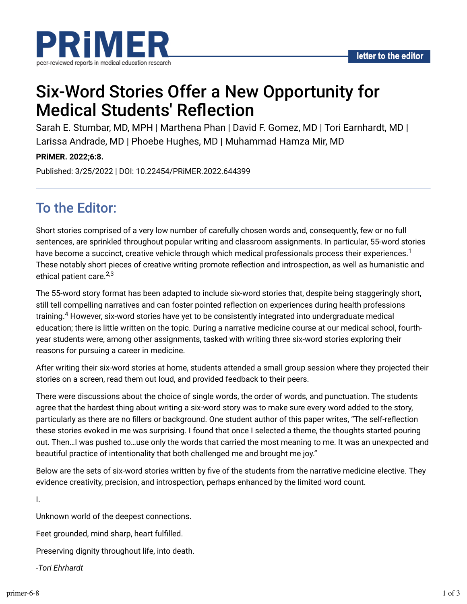



# Six-Word Stories Offer a New Opportunity for **Medical Students' Reflection**

Sarah E. Stumbar, MD, MPH | Marthena Phan | David F. Gomez, MD | Tori Earnhardt, MD | Larissa Andrade, MD | Phoebe Hughes, MD | Muhammad Hamza Mir, MD

**PRiMER. 2022;6:8.**

Published: 3/25/2022 | DOI: 10.22454/PRiMER.2022.644399

# To the Editor:

Short stories comprised of a very low number of carefully chosen words and, consequently, few or no full sentences, are sprinkled throughout popular writing and classroom assignments. In particular, 55-word stories have become a succinct, creative vehicle through which medical professionals process their experiences. $^{\rm 1}$ These notably short pieces of creative writing promote reflection and introspection, as well as humanistic and ethical patient care.<sup>2,3</sup>

The 55-word story format has been adapted to include six-word stories that, despite being staggeringly short, still tell compelling narratives and can foster pointed reflection on experiences during health professions training. $4$  However, six-word stories have yet to be consistently integrated into undergraduate medical education; there is little written on the topic. During a narrative medicine course at our medical school, fourthyear students were, among other assignments, tasked with writing three six-word stories exploring their reasons for pursuing a career in medicine.

After writing their six-word stories at home, students attended a small group session where they projected their stories on a screen, read them out loud, and provided feedback to their peers.

There were discussions about the choice of single words, the order of words, and punctuation. The students agree that the hardest thing about writing a six-word story was to make sure every word added to the story, particularly as there are no fillers or background. One student author of this paper writes, "The self-reflection these stories evoked in me was surprising. I found that once I selected a theme, the thoughts started pouring out. Then…I was pushed to…use only the words that carried the most meaning to me. It was an unexpected and beautiful practice of intentionality that both challenged me and brought me joy."

Below are the sets of six-word stories written by five of the students from the narrative medicine elective. They evidence creativity, precision, and introspection, perhaps enhanced by the limited word count.

I.

Unknown world of the deepest connections.

Feet grounded, mind sharp, heart fulfilled.

Preserving dignity throughout life, into death.

*-Tori Ehrhardt*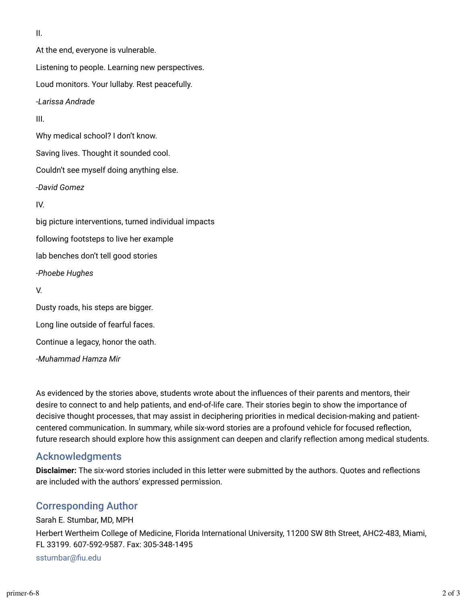II.

At the end, everyone is vulnerable. Listening to people. Learning new perspectives. Loud monitors. Your lullaby. Rest peacefully. -*Larissa Andrade* III. Why medical school? I don't know. Saving lives. Thought it sounded cool. Couldn't see myself doing anything else. *-David Gomez* IV. big picture interventions, turned individual impacts following footsteps to live her example lab benches don't tell good stories *-Phoebe Hughes* V. Dusty roads, his steps are bigger. Long line outside of fearful faces. Continue a legacy, honor the oath. *-Muhammad Hamza Mir*

As evidenced by the stories above, students wrote about the influences of their parents and mentors, their desire to connect to and help patients, and end-of-life care. Their stories begin to show the importance of decisive thought processes, that may assist in deciphering priorities in medical decision-making and patientcentered communication. In summary, while six-word stories are a profound vehicle for focused reflection, future research should explore how this assignment can deepen and clarify reflection among medical students.

#### Acknowledgments

**Disclaimer:** The six-word stories included in this letter were submitted by the authors. Quotes and reflections are included with the authors' expressed permission.

## Corresponding Author

Sarah E. Stumbar, MD, MPH Herbert Wertheim College of Medicine, Florida International University, 11200 SW 8th Street, AHC2-483, Miami, FL 33199. 607-592-9587. Fax: 305-348-1495 sstumbar@fiu.edu